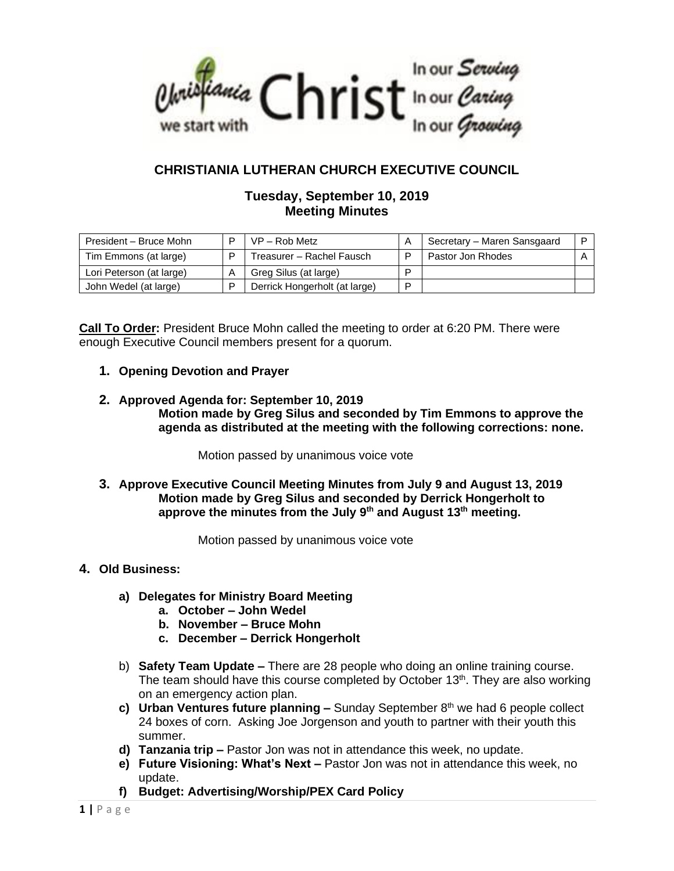

# **CHRISTIANIA LUTHERAN CHURCH EXECUTIVE COUNCIL**

## **Tuesday, September 10, 2019 Meeting Minutes**

| President - Bruce Mohn   | D | $VP - Rob Metz$               |   | Secretary – Maren Sansgaard |  |
|--------------------------|---|-------------------------------|---|-----------------------------|--|
| Tim Emmons (at large)    | D | Treasurer - Rachel Fausch     |   | Pastor Jon Rhodes           |  |
| Lori Peterson (at large) | Α | Greg Silus (at large)         |   |                             |  |
| John Wedel (at large)    |   | Derrick Hongerholt (at large) | D |                             |  |

**Call To Order:** President Bruce Mohn called the meeting to order at 6:20 PM. There were enough Executive Council members present for a quorum.

- **1. Opening Devotion and Prayer**
- **2. Approved Agenda for: September 10, 2019 Motion made by Greg Silus and seconded by Tim Emmons to approve the agenda as distributed at the meeting with the following corrections: none.**

Motion passed by unanimous voice vote

**3. Approve Executive Council Meeting Minutes from July 9 and August 13, 2019 Motion made by Greg Silus and seconded by Derrick Hongerholt to approve the minutes from the July 9th and August 13th meeting.**

Motion passed by unanimous voice vote

## **4. Old Business:**

- **a) Delegates for Ministry Board Meeting**
	- **a. October – John Wedel**
	- **b. November – Bruce Mohn**
	- **c. December – Derrick Hongerholt**
- b) **Safety Team Update –** There are 28 people who doing an online training course. The team should have this course completed by October  $13<sup>th</sup>$ . They are also working on an emergency action plan.
- **c)** Urban Ventures future planning Sunday September 8<sup>th</sup> we had 6 people collect 24 boxes of corn. Asking Joe Jorgenson and youth to partner with their youth this summer.
- **d) Tanzania trip –** Pastor Jon was not in attendance this week, no update.
- **e) Future Visioning: What's Next –** Pastor Jon was not in attendance this week, no update.
- **f) Budget: Advertising/Worship/PEX Card Policy**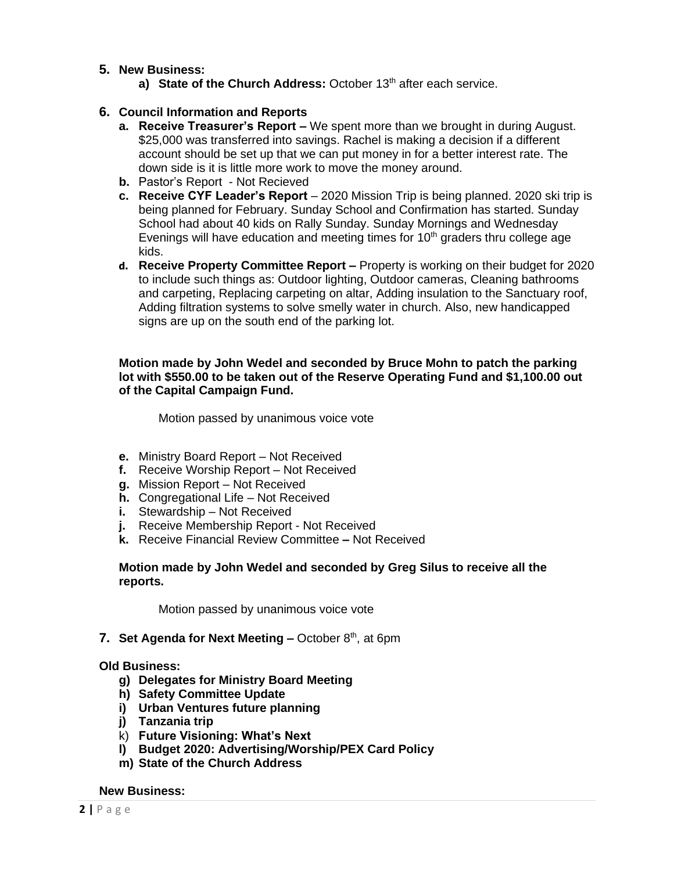- **5. New Business:** 
	- a) State of the Church Address: October 13<sup>th</sup> after each service.

## **6. Council Information and Reports**

- **a. Receive Treasurer's Report –** We spent more than we brought in during August. \$25,000 was transferred into savings. Rachel is making a decision if a different account should be set up that we can put money in for a better interest rate. The down side is it is little more work to move the money around.
- **b.** Pastor's Report Not Recieved
- **c. Receive CYF Leader's Report** 2020 Mission Trip is being planned. 2020 ski trip is being planned for February. Sunday School and Confirmation has started. Sunday School had about 40 kids on Rally Sunday. Sunday Mornings and Wednesday Evenings will have education and meeting times for  $10<sup>th</sup>$  graders thru college age kids.
- **d. Receive Property Committee Report –** Property is working on their budget for 2020 to include such things as: Outdoor lighting, Outdoor cameras, Cleaning bathrooms and carpeting, Replacing carpeting on altar, Adding insulation to the Sanctuary roof, Adding filtration systems to solve smelly water in church. Also, new handicapped signs are up on the south end of the parking lot.

### **Motion made by John Wedel and seconded by Bruce Mohn to patch the parking lot with \$550.00 to be taken out of the Reserve Operating Fund and \$1,100.00 out of the Capital Campaign Fund.**

Motion passed by unanimous voice vote

- **e.** Ministry Board Report Not Received
- **f.** Receive Worship Report Not Received
- **g.** Mission Report Not Received
- **h.** Congregational Life Not Received
- **i.** Stewardship Not Received
- **j.** Receive Membership Report Not Received
- **k.** Receive Financial Review Committee **–** Not Received

### **Motion made by John Wedel and seconded by Greg Silus to receive all the reports.**

Motion passed by unanimous voice vote

#### **7. Set Agenda for Next Meeting – October 8th, at 6pm**

#### **Old Business:**

- **g) Delegates for Ministry Board Meeting**
- **h) Safety Committee Update**
- **i) Urban Ventures future planning**
- **j) Tanzania trip**
- k) **Future Visioning: What's Next**
- **l) Budget 2020: Advertising/Worship/PEX Card Policy**
- **m) State of the Church Address**

#### **New Business:**